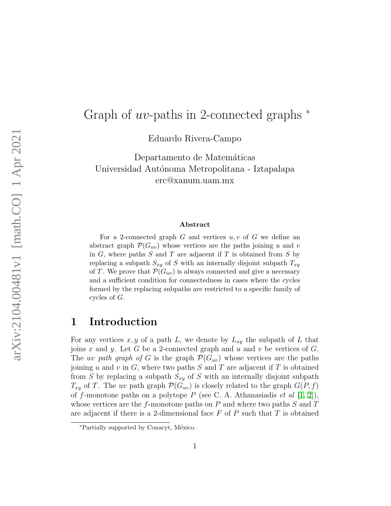# Graph of  $uv$ -paths in 2-connected graphs  $*$

Eduardo Rivera-Campo

Departamento de Matemáticas Universidad Autónoma Metropolitana - Iztapalapa erc@xanum.uam.mx

#### Abstract

For a 2-connected graph  $G$  and vertices  $u, v$  of  $G$  we define an abstract graph  $\mathcal{P}(G_{uv})$  whose vertices are the paths joining u and v in  $G$ , where paths  $S$  and  $T$  are adjacent if  $T$  is obtained from  $S$  by replacing a subpath  $S_{xy}$  of S with an internally disjoint subpath  $T_{xy}$ of T. We prove that  $\mathcal{P}(G_{uv})$  is always connected and give a necessary and a sufficient condition for connectedness in cases where the cycles formed by the replacing subpaths are restricted to a specific family of cycles of G.

### 1 Introduction

For any vertices  $x, y$  of a path L, we denote by  $L_{xy}$  the subpath of L that joins x and y. Let G be a 2-connected graph and u and v be vertices of G. The uv path graph of G is the graph  $\mathcal{P}(G_{uv})$  whose vertices are the paths joining u and v in  $G$ , where two paths  $S$  and  $T$  are adjacent if  $T$  is obtained from S by replacing a subpath  $S_{xy}$  of S with an internally disjoint subpath  $T_{xy}$  of T. The uv path graph  $\mathcal{P}(G_{uv})$  is closely related to the graph  $G(P, f)$ of f-monotone paths on a polytope P (see C. A. Athanasiadis et al  $[1, 2]$  $[1, 2]$ ), whose vertices are the f-monotone paths on P and where two paths  $S$  and  $T$ are adjacent if there is a 2-dimensional face  $F$  of  $P$  such that  $T$  is obtained

<sup>∗</sup>Partially supported by Conacyt, M´exico.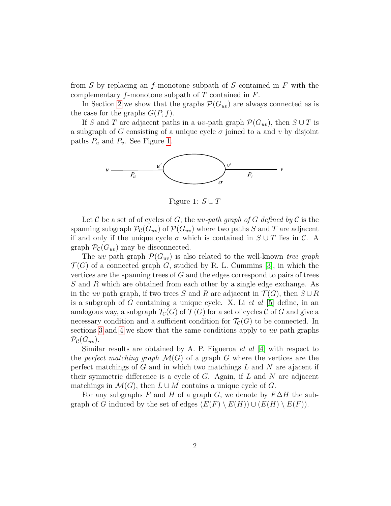from S by replacing an f-monotone subpath of S contained in  $F$  with the complementary  $f$ -monotone subpath of  $T$  contained in  $F$ .

In Section [2](#page-2-0) we show that the graphs  $\mathcal{P}(G_{uv})$  are always connected as is the case for the graphs  $G(P, f)$ .

If S and T are adjacent paths in a uv-path graph  $\mathcal{P}(G_{uv})$ , then  $S \cup T$  is a subgraph of G consisting of a unique cycle  $\sigma$  joined to u and v by disjoint paths  $P_u$  and  $P_v$ . See Figure [1.](#page-1-0)



<span id="page-1-0"></span>Figure 1:  $S \cup T$ 

Let C be a set of of cycles of G; the uv-path graph of G defined by C is the spanning subgraph  $\mathcal{P}_{\mathcal{C}}(G_{uv})$  of  $\mathcal{P}(G_{uv})$  where two paths S and T are adjacent if and only if the unique cycle  $\sigma$  which is contained in  $S \cup T$  lies in  $\mathcal{C}$ . A graph  $\mathcal{P}_{\mathcal{C}}(G_{uv})$  may be disconnected.

The uv path graph  $\mathcal{P}(G_{uv})$  is also related to the well-known tree graph  $\mathcal{T}(G)$  of a connected graph G, studied by R. L. Cummins [\[3\]](#page-8-2), in which the vertices are the spanning trees of G and the edges correspond to pairs of trees S and R which are obtained from each other by a single edge exchange. As in the uv path graph, if two trees S and R are adjacent in  $\mathcal{T}(G)$ , then  $S \cup R$ is a subgraph of G containing a unique cycle. X. Li et al  $[5]$  define, in an analogous way, a subgraph  $\mathcal{T}_{\mathcal{C}}(G)$  of  $\mathcal{T}(G)$  for a set of cycles C of G and give a necessary condition and a sufficient condition for  $\mathcal{T}_{\mathcal{C}}(G)$  to be connected. In sections [3](#page-3-0) and [4](#page-4-0) we show that the same conditions apply to uv path graphs  $\mathcal{P}_{\mathcal{C}}(G_{uv}).$ 

Similar results are obtained by A. P. Figueroa *et al* [\[4\]](#page-8-3) with respect to the perfect matching graph  $\mathcal{M}(G)$  of a graph G where the vertices are the perfect matchings of  $G$  and in which two matchings  $L$  and  $N$  are ajacent if their symmetric difference is a cycle of  $G$ . Again, if  $L$  and  $N$  are adjacent matchings in  $\mathcal{M}(G)$ , then  $L \cup M$  contains a unique cycle of G.

For any subgraphs F and H of a graph G, we denote by  $F\Delta H$  the subgraph of G induced by the set of edges  $(E(F) \setminus E(H)) \cup (E(H) \setminus E(F))$ .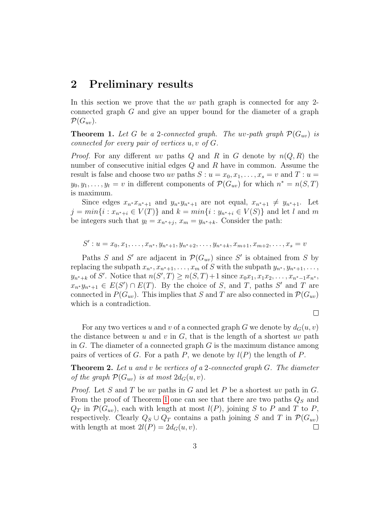#### <span id="page-2-0"></span>2 Preliminary results

In this section we prove that the uv path graph is connected for any 2connected graph G and give an upper bound for the diameter of a graph  $\mathcal{P}(G_{uv}).$ 

<span id="page-2-1"></span>**Theorem 1.** Let G be a 2-connected graph. The uv-path graph  $\mathcal{P}(G_{uv})$  is connected for every pair of vertices u, v of G.

*Proof.* For any different uv paths Q and R in G denote by  $n(Q, R)$  the number of consecutive initial edges  $Q$  and  $R$  have in common. Assume the result is false and choose two uv paths  $S: u = x_0, x_1, \ldots, x_s = v$  and  $T: u =$  $y_0, y_1, \ldots, y_t = v$  in different components of  $\mathcal{P}(G_{uv})$  for which  $n^* = n(S,T)$ is maximum.

Since edges  $x_{n^*}x_{n^*+1}$  and  $y_{n^*}y_{n^*+1}$  are not equal,  $x_{n^*+1} \neq y_{n^*+1}$ . Let  $j = min\{i : x_{n^*+i} \in V(T)\}\$ and  $k = min\{i : y_{n^*+i} \in V(S)\}\$ and let l and m be integers such that  $y_l = x_{n^*+j}, x_m = y_{n^*+k}$ . Consider the path:

 $S': u = x_0, x_1, \ldots, x_{n^*}, y_{n^*+1}, y_{n^*+2}, \ldots, y_{n^*+k}, x_{m+1}, x_{m+2}, \ldots, x_s = v$ 

Paths S and S' are adjacent in  $\mathcal{P}(G_{uv})$  since S' is obtained from S by replacing the subpath  $x_{n^*}, x_{n^*+1}, \ldots, x_m$  of S with the subpath  $y_{n^*}, y_{n^*+1}, \ldots,$  $y_{n^*+k}$  of S'. Notice that  $n(S',T) \ge n(S,T)+1$  since  $x_0x_1, x_1x_2, \ldots, x_{n^*-1}x_{n^*}$ ,  $x_{n^*}y_{n^*+1} \in E(S') \cap E(T)$ . By the choice of S, and T, paths S' and T are connected in  $P(G_{uv})$ . This implies that S and T are also connected in  $\mathcal{P}(G_{uv})$ which is a contradiction.

 $\Box$ 

For any two vertices u and v of a connected graph G we denote by  $d_G(u, v)$ the distance between u and v in  $G$ , that is the length of a shortest uv path in  $G$ . The diameter of a connected graph  $G$  is the maximum distance among pairs of vertices of G. For a path P, we denote by  $l(P)$  the length of P.

<span id="page-2-2"></span>**Theorem 2.** Let u and v be vertices of a 2-connected graph  $G$ . The diameter of the graph  $\mathcal{P}(G_{uv})$  is at most  $2d_G(u, v)$ .

*Proof.* Let S and T be uv paths in G and let P be a shortest uv path in G. From the proof of Theorem [1](#page-2-1) one can see that there are two paths  $Q_S$  and  $Q_T$  in  $\mathcal{P}(G_{uv})$ , each with length at most  $l(P)$ , joining S to P and T to P, respectively. Clearly  $Q_S \cup Q_T$  contains a path joining S and T in  $\mathcal{P}(G_{uv})$ with length at most  $2l(P) = 2d_G(u, v)$ .  $\Box$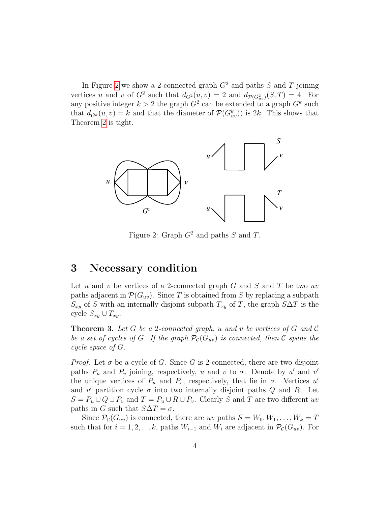In Figure [2](#page-3-1) we show a 2-connected graph  $G<sup>2</sup>$  and paths S and T joining vertices u and v of  $G^2$  such that  $d_{G^2}(u,v) = 2$  and  $d_{\mathcal{P}(G^2_{uv})}(S,T) = 4$ . For any positive integer  $k > 2$  the graph  $G^2$  can be extended to a graph  $G^k$  such that  $d_{G^k}(u, v) = k$  and that the diameter of  $\mathcal{P}(G_{uv}^k)$  is 2k. This shows that Theorem [2](#page-2-2) is tight.



<span id="page-3-1"></span>Figure 2: Graph  $G^2$  and paths S and T.

#### <span id="page-3-0"></span>3 Necessary condition

Let u and v be vertices of a 2-connected graph  $G$  and  $S$  and  $T$  be two uv paths adjacent in  $\mathcal{P}(G_{uv})$ . Since T is obtained from S by replacing a subpath  $S_{xy}$  of S with an internally disjoint subpath  $T_{xy}$  of T, the graph  $S\Delta T$  is the cycle  $S_{xy} \cup T_{xy}$ .

<span id="page-3-2"></span>**Theorem 3.** Let G be a 2-connected graph, u and v be vertices of G and C be a set of cycles of G. If the graph  $\mathcal{P}_{\mathcal{C}}(G_{uv})$  is connected, then C spans the cycle space of G.

*Proof.* Let  $\sigma$  be a cycle of G. Since G is 2-connected, there are two disjoint paths  $P_u$  and  $P_v$  joining, respectively, u and v to  $\sigma$ . Denote by u' and v' the unique vertices of  $P_u$  and  $P_v$ , respectively, that lie in  $\sigma$ . Vertices u' and v' partition cycle  $\sigma$  into two internally disjoint paths Q and R. Let  $S = P_u \cup Q \cup P_v$  and  $T = P_u \cup R \cup P_v$ . Clearly S and T are two different uv paths in G such that  $S\Delta T = \sigma$ .

Since  $\mathcal{P}_{\mathcal{C}}(G_{uv})$  is connected, there are uv paths  $S = W_0, W_1, \ldots, W_k = T$ such that for  $i = 1, 2, \ldots k$ , paths  $W_{i-1}$  and  $W_i$  are adjacent in  $\mathcal{P}_{\mathcal{C}}(G_{uv})$ . For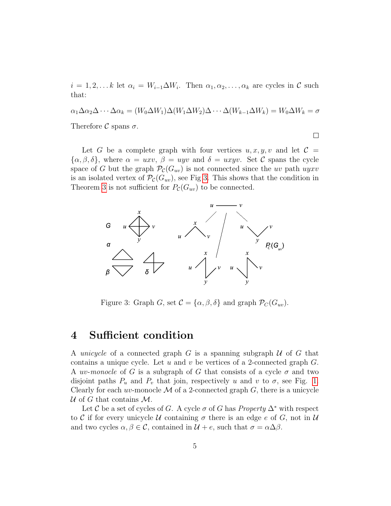$i = 1, 2, \dots k$  let  $\alpha_i = W_{i-1} \Delta W_i$ . Then  $\alpha_1, \alpha_2, \dots, \alpha_k$  are cycles in  $\mathcal C$  such that:

$$
\alpha_1 \Delta \alpha_2 \Delta \cdots \Delta \alpha_k = (W_0 \Delta W_1) \Delta (W_1 \Delta W_2) \Delta \cdots \Delta (W_{k-1} \Delta W_k) = W_0 \Delta W_k = \sigma
$$
  
Therefore *C* spans  $\sigma$ .

 $\Box$ 

Let G be a complete graph with four vertices  $u, x, y, v$  and let  $\mathcal{C} =$  $\{\alpha,\beta,\delta\},\$  where  $\alpha = uxv,\ \beta = uyv$  and  $\delta = uxyv$ . Set C spans the cycle space of G but the graph  $\mathcal{P}_{\mathcal{C}}(G_{uv})$  is not connected since the uv path uyxv is an isolated vertex of  $\mathcal{P}_{\mathcal{C}}(G_{uv})$ , see Fig [3.](#page-4-1) This shows that the condition in Theorem [3](#page-3-2) is not sufficient for  $P_{\mathcal{C}}(G_{uv})$  to be connected.



<span id="page-4-1"></span>Figure 3: Graph G, set  $\mathcal{C} = {\alpha, \beta, \delta}$  and graph  $\mathcal{P}_C(G_{uv})$ .

#### <span id="page-4-0"></span>4 Sufficient condition

A unicycle of a connected graph  $G$  is a spanning subgraph  $U$  of  $G$  that contains a unique cycle. Let u and v be vertices of a 2-connected graph  $G$ . A *uv-monocle* of G is a subgraph of G that consists of a cycle  $\sigma$  and two disjoint paths  $P_u$  and  $P_v$  that join, respectively u and v to  $\sigma$ , see Fig. [1.](#page-1-0) Clearly for each uv-monocle  $\mathcal M$  of a 2-connected graph  $G$ , there is a unicycle U of G that contains  $\mathcal{M}$ .

Let C be a set of cycles of G. A cycle  $\sigma$  of G has *Property*  $\Delta^*$  with respect to C if for every unicycle U containing  $\sigma$  there is an edge e of G, not in U and two cycles  $\alpha, \beta \in \mathcal{C}$ , contained in  $\mathcal{U} + e$ , such that  $\sigma = \alpha \Delta \beta$ .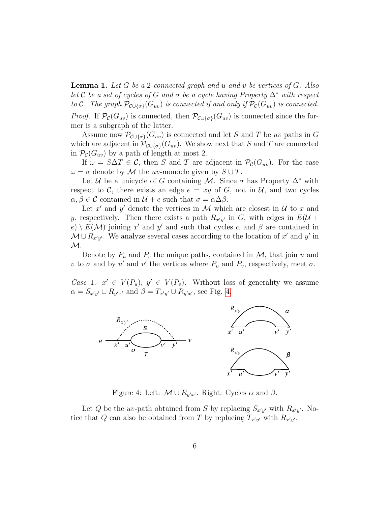<span id="page-5-1"></span>**Lemma 1.** Let G be a 2-connected graph and u and v be vertices of G. Also let C be a set of cycles of G and  $\sigma$  be a cycle having Property  $\Delta^*$  with respect to C. The graph  $\mathcal{P}_{\mathcal{C}\cup{\{\sigma\}}}(\mathcal{G}_{uv})$  is connected if and only if  $\mathcal{P}_{\mathcal{C}}(\mathcal{G}_{uv})$  is connected. *Proof.* If  $\mathcal{P}_{\mathcal{C}}(G_{uv})$  is connected, then  $\mathcal{P}_{\mathcal{C}\cup{\{\sigma\}}}(G_{uv})$  is connected since the for-

mer is a subgraph of the latter.

Assume now  $\mathcal{P}_{\mathcal{C}\cup{\{\sigma\}}}(G_{uv})$  is connected and let S and T be uv paths in G which are adjacent in  $\mathcal{P}_{\mathcal{C}\cup{\{\sigma\}}}(\mathcal{G}_{uv})$ . We show next that S and T are connected in  $\mathcal{P}_{\mathcal{C}}(G_{uv})$  by a path of length at most 2.

If  $\omega = S \Delta T \in \mathcal{C}$ , then S and T are adjacent in  $\mathcal{P}_{\mathcal{C}}(G_{uv})$ . For the case  $\omega = \sigma$  denote by M the uv-monocle given by  $S \cup T$ .

Let U be a unicycle of G containing M. Since  $\sigma$  has Property  $\Delta^*$  with respect to C, there exists an edge  $e = xy$  of G, not in U, and two cycles  $\alpha, \beta \in \mathcal{C}$  contained in  $\mathcal{U} + e$  such that  $\sigma = \alpha \Delta \beta$ .

Let x' and y' denote the vertices in M which are closest in  $\mathcal U$  to x and y, respectively. Then there exists a path  $R_{x'y'}$  in G, with edges in  $E(\mathcal{U} +$  $e) \setminus E(\mathcal{M})$  joining x' and y' and such that cycles  $\alpha$  and  $\beta$  are contained in  $\mathcal{M} \cup R_{x'y'}$ . We analyze several cases according to the location of  $x'$  and  $y'$  in  $\mathcal{M}.$ 

Denote by  $P_u$  and  $P_v$  the unique paths, contained in  $\mathcal{M}$ , that join u and v to  $\sigma$  and by u' and v' the vertices where  $P_u$  and  $P_v$ , respectively, meet  $\sigma$ .

Case 1.-  $x' \in V(P_u)$ ,  $y' \in V(P_v)$ . Without loss of generality we assume  $\alpha = S_{x'y'} \cup R_{y'x'}$  and  $\beta = T_{x'y'} \cup R_{y'x'}$ , see Fig. [4.](#page-5-0)



<span id="page-5-0"></span>Figure 4: Left:  $\mathcal{M} \cup R_{y'x'}$ . Right: Cycles  $\alpha$  and  $\beta$ .

Let Q be the uv-path obtained from S by replacing  $S_{x'y'}$  with  $R_{x'y'}$ . Notice that Q can also be obtained from T by replacing  $T_{x'y'}$  with  $R_{x'y'}$ .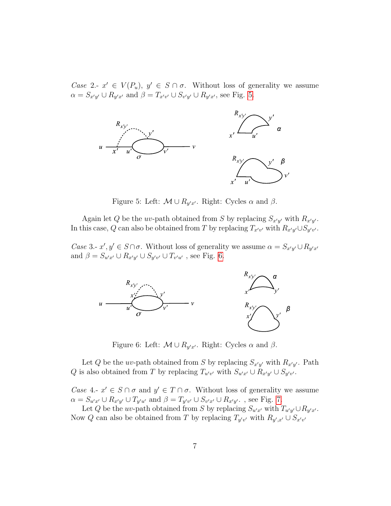Case 2.-  $x' \in V(P_u)$ ,  $y' \in S \cap \sigma$ . Without loss of generality we assume  $\alpha = S_{x'y'} \cup R_{y'x'}$  and  $\beta = T_{x'v'} \cup S_{v'y'} \cup R_{y'x'}$ , see Fig. [5.](#page-6-0)



<span id="page-6-0"></span>Figure 5: Left:  $\mathcal{M} \cup R_{y'x'}$ . Right: Cycles  $\alpha$  and  $\beta$ .

Again let Q be the uv-path obtained from S by replacing  $S_{x'y'}$  with  $R_{x'y'}$ . In this case, Q can also be obtained from T by replacing  $T_{x'v'}$  with  $R_{x'y'} \cup S_{y'v'}$ .

Case 3.-  $x', y' \in S \cap \sigma$ . Without loss of generality we assume  $\alpha = S_{x'y'} \cup R_{y'x'}$ and  $\beta = S_{u'x'} \cup R_{x'y'} \cup S_{y'v'} \cup T_{v'u'}$ , see Fig. [6.](#page-6-1)



<span id="page-6-1"></span>Figure 6: Left:  $\mathcal{M} \cup R_{y'x'}$ . Right: Cycles  $\alpha$  and  $\beta$ .

Let Q be the uv-path obtained from S by replacing  $S_{x'y'}$  with  $R_{x'y'}$ . Path Q is also obtained from T by replacing  $T_{u'v'}$  with  $S_{u'x'} \cup R_{x'y'} \cup S_{y'v'}$ .

Case 4.-  $x' \in S \cap \sigma$  and  $y' \in T \cap \sigma$ . Without loss of generality we assume  $\alpha = S_{u'x'} \cup R_{x'y'} \cup T_{y'u'}$  and  $\beta = T_{y'v'} \cup S_{v'x'} \cup R_{x'y'}$ , see Fig. [7.](#page-7-0)

Let Q be the uv-path obtained from S by replacing  $S_{u'x'}$  with  $T_{u'y'} \cup R_{y'x'}$ . Now Q can also be obtained from T by replacing  $T_{y'v'}$  with  $R_{y',x'} \cup S_{x'v'}$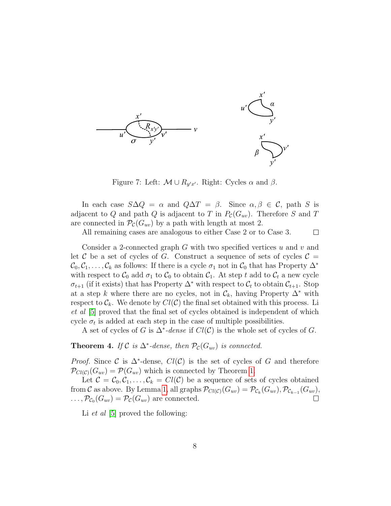

<span id="page-7-0"></span>Figure 7: Left:  $\mathcal{M} \cup R_{y'x'}$ . Right: Cycles  $\alpha$  and  $\beta$ .

In each case  $S\Delta Q = \alpha$  and  $Q\Delta T = \beta$ . Since  $\alpha, \beta \in C$ , path S is adjacent to Q and path Q is adjacent to T in  $P_{\mathcal{C}}(G_{uv})$ . Therefore S and T are connected in  $\mathcal{P}_{\mathcal{C}}(G_{uv})$  by a path with length at most 2.

All remaining cases are analogous to either Case 2 or to Case 3.

 $\Box$ 

Consider a 2-connected graph  $G$  with two specified vertices  $u$  and  $v$  and let C be a set of cycles of G. Construct a sequence of sets of cycles  $\mathcal{C} =$  $\mathcal{C}_0, \mathcal{C}_1, \ldots, \mathcal{C}_k$  as follows: If there is a cycle  $\sigma_1$  not in  $\mathcal{C}_0$  that has Property  $\Delta^*$ with respect to  $\mathcal{C}_0$  add  $\sigma_1$  to  $\mathcal{C}_0$  to obtain  $\mathcal{C}_1$ . At step t add to  $\mathcal{C}_t$  a new cycle  $\sigma_{t+1}$  (if it exists) that has Property  $\Delta^*$  with respect to  $\mathcal{C}_t$  to obtain  $\mathcal{C}_{t+1}$ . Stop at a step k where there are no cycles, not in  $\mathcal{C}_k$ , having Property  $\Delta^*$  with respect to  $\mathcal{C}_k$ . We denote by  $Cl(\mathcal{C})$  the final set obtained with this process. Li et al [\[5\]](#page-9-0) proved that the final set of cycles obtained is independent of which cycle  $\sigma_t$  is added at each step in the case of multiple possibilities.

A set of cycles of G is  $\Delta^*$ -dense if  $Cl(\mathcal{C})$  is the whole set of cycles of G.

<span id="page-7-1"></span>**Theorem 4.** If  $C$  is  $\Delta^*$ -dense, then  $\mathcal{P}_C(G_{uv})$  is connected.

*Proof.* Since C is  $\Delta^*$ -dense,  $Cl(C)$  is the set of cycles of G and therefore  $\mathcal{P}_{Cl(C)}(G_{uv}) = \mathcal{P}(G_{uv})$  which is connected by Theorem [1.](#page-2-1)

Let  $C = C_0, C_1, \ldots, C_k = Cl(C)$  be a sequence of sets of cycles obtained from C as above. By Lemma [1,](#page-5-1) all graphs  $\mathcal{P}_{Cl(C)}(G_{uv}) = \mathcal{P}_{\mathcal{C}_k}(G_{uv}), \mathcal{P}_{\mathcal{C}_{k-1}}(G_{uv}),$  $\ldots$ ,  $\mathcal{P}_{\mathcal{C}_0}(G_{uv}) = \mathcal{P}_{\mathcal{C}}(G_{uv})$  are connected.

Li *et al* [\[5\]](#page-9-0) proved the following: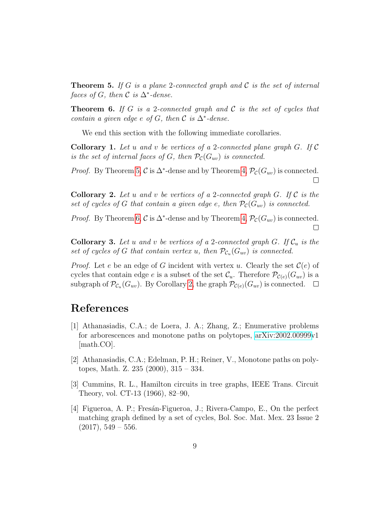<span id="page-8-4"></span>**Theorem 5.** If G is a plane 2-connected graph and C is the set of internal faces of G, then  $\mathcal C$  is  $\Delta^*$ -dense.

<span id="page-8-5"></span>**Theorem 6.** If G is a 2-connected graph and C is the set of cycles that contain a given edge e of G, then  $\mathcal C$  is  $\Delta^*$ -dense.

We end this section with the following immediate corollaries.

**Collorary 1.** Let u and v be vertices of a 2-connected plane graph  $G$ . If  $\mathcal C$ is the set of internal faces of G, then  $\mathcal{P}_{\mathcal{C}}(G_{uv})$  is connected.

*Proof.* By Theorem [5,](#page-8-4)  $\mathcal{C}$  is  $\Delta^*$ -dense and by Theorem [4,](#page-7-1)  $\mathcal{P}_{\mathcal{C}}(G_{uv})$  is connected.  $\Box$ 

<span id="page-8-6"></span>**Collorary 2.** Let u and v be vertices of a 2-connected graph G. If  $\mathcal{C}$  is the set of cycles of G that contain a given edge e, then  $P_{\mathcal{C}}(G_{uv})$  is connected.

*Proof.* By Theorem [6,](#page-8-5)  $\mathcal{C}$  is  $\Delta^*$ -dense and by Theorem [4,](#page-7-1)  $\mathcal{P}_{\mathcal{C}}(G_{uv})$  is connected.  $\Box$ 

**Collorary 3.** Let u and v be vertices of a 2-connected graph G. If  $\mathcal{C}_u$  is the set of cycles of G that contain vertex u, then  $\mathcal{P}_{\mathcal{C}_u}(G_{uv})$  is connected.

*Proof.* Let e be an edge of G incident with vertex u. Clearly the set  $\mathcal{C}(e)$  of cycles that contain edge e is a subset of the set  $\mathcal{C}_u$ . Therefore  $\mathcal{P}_{\mathcal{C}(e)}(G_{uv})$  is a subgraph of  $\mathcal{P}_{\mathcal{C}_u}(G_{uv})$ . By Corollary [2,](#page-8-6) the graph  $\mathcal{P}_{\mathcal{C}(e)}(G_{uv})$  is connected.

## References

- <span id="page-8-0"></span>[1] Athanasiadis, C.A.; de Loera, J. A.; Zhang, Z.; Enumerative problems for arborescences and monotone paths on polytopes, [arXiv:2002.00999v](http://arxiv.org/abs/2002.00999)1 [math.CO].
- <span id="page-8-1"></span>[2] Athanasiadis, C.A.; Edelman, P. H.; Reiner, V., Monotone paths on polytopes, Math. Z. 235 (2000), 315 – 334.
- <span id="page-8-2"></span>[3] Cummins, R. L., Hamilton circuits in tree graphs, IEEE Trans. Circuit Theory, vol. CT-13 (1966), 82–90,
- <span id="page-8-3"></span>[4] Figueroa, A. P.; Fresán-Figueroa, J.; Rivera-Campo, E., On the perfect matching graph defined by a set of cycles, Bol. Soc. Mat. Mex. 23 Issue 2  $(2017), 549 - 556.$